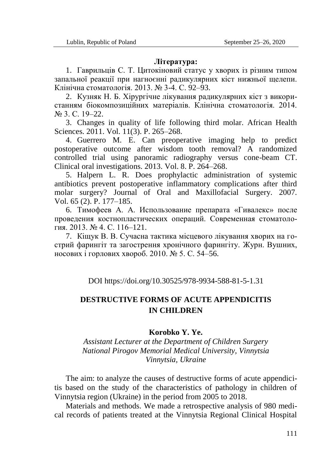## **Література:**

1. Гаврильців С. Т. Цитокіновий статус у хворих із різним типом запальної реакції при нагноєнні радикулярних кіст нижньої щелепи. Клінічна стоматологія. 2013. № 3-4. С. 92–93.

2. Кузняк Н. Б. Хірургічне лікування радикулярних кіст з використанням біокомпозиційних матеріалів. Клінічна стоматологія. 2014. № 3. С. 19–22.

3. Changes in quality of life following third molar. African Health Sciences. 2011. Vol. 11(3). P. 265–268.

4. Guerrero M. E. Can preoperative imaging help to predict postoperative outcome after wisdom tooth removal? A randomized controlled trial using panoramic radiography versus cone-beam CT. Clinical oral investigations. 2013. Vol. 8. P. 264–268.

5. Halpern L. R. Does prophylactic administration of systemic antibiotics prevent postoperative inflammatory complications after third molar surgery? Journal of Oral and Maxillofacial Surgery. 2007. Vol. 65 (2). P. 177–185.

6. Тимофеев А. А. Использование препарата «Гивалекс» после проведения костнопластических операций. Современная стоматология. 2013. № 4. С. 116–121.

7. Кіщук В. В. Сучасна тактика місцевого лікування хворих на гострий фарингіт та загострення хронічного фарингіту. Журн. Вушних, носових і горлових хвороб. 2010. № 5. С. 54–56.

DOI https://doi.org/10.30525/978-9934-588-81-5-1.31

## **DESTRUCTIVE FORMS OF ACUTE APPENDICITIS IN CHILDREN**

## **Korobko Y. Ye.**

*Assistant Lecturer at the Department of Children Surgery National Pirogov Memorial Medical University, Vinnytsia Vinnytsia, Ukraine*

The aim: to analyze the causes of destructive forms of acute appendicitis based on the study of the characteristics of pathology in children of Vinnytsia region (Ukraine) in the period from 2005 to 2018.

Materials and methods. We made a retrospective analysis of 980 medical records of patients treated at the Vinnytsia Regional Clinical Hospital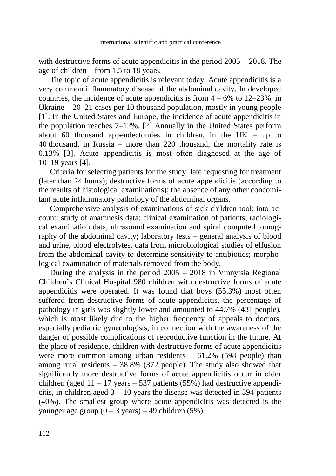with destructive forms of acute appendicitis in the period  $2005 - 2018$ . The age of children – from 1.5 to 18 years.

The topic of acute appendicitis is relevant today. Acute appendicitis is a very common inflammatory disease of the abdominal cavity. In developed countries, the incidence of acute appendicitis is from  $4 - 6\%$  to  $12 - 23\%$ , in Ukraine – 20–21 cases per 10 thousand population, mostly in young people [1]. In the United States and Europe, the incidence of acute appendicitis in the population reaches 7–12%. [2] Annually in the United States perform about 60 thousand appendectomies in children, in the  $UK - up$  to 40 thousand, in Russia – more than 220 thousand, the mortality rate is 0.13% [3]. Acute appendicitis is most often diagnosed at the age of 10–19 years [4].

Criteria for selecting patients for the study: late requesting for treatment (later than 24 hours); destructive forms of acute appendicitis (according to the results of histological examinations); the absence of any other concomitant acute inflammatory pathology of the abdominal organs.

Comprehensive analysis of examinations of sick children took into account: study of anamnesis data; clinical examination of patients; radiological examination data, ultrasound examination and spiral computed tomography of the abdominal cavity; laboratory tests – general analysis of blood and urine, blood electrolytes, data from microbiological studies of effusion from the abdominal cavity to determine sensitivity to antibiotics; morphological examination of materials removed from the body.

During the analysis in the period 2005 – 2018 in Vinnytsia Regional Children's Clinical Hospital 980 children with destructive forms of acute appendicitis were operated. It was found that boys (55.3%) most often suffered from destructive forms of acute appendicitis, the percentage of pathology in girls was slightly lower and amounted to 44.7% (431 people), which is most likely due to the higher frequency of appeals to doctors, especially pediatric gynecologists, in connection with the awareness of the danger of possible complications of reproductive function in the future. At the place of residence, children with destructive forms of acute appendicitis were more common among urban residents  $-61.2\%$  (598 people) than among rural residents  $-38.8\%$  (372 people). The study also showed that significantly more destructive forms of acute appendicitis occur in older children (aged  $11 - 17$  years  $-537$  patients (55%) had destructive appendicitis, in children aged  $3 - 10$  years the disease was detected in 394 patients (40%). The smallest group where acute appendicitis was detected is the younger age group  $(0 - 3$  years) – 49 children (5%).